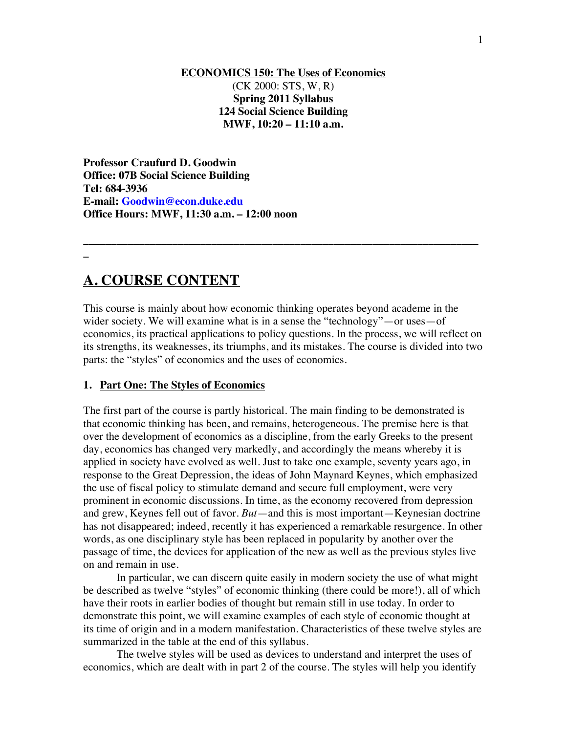#### **ECONOMICS 150: The Uses of Economics** (CK 2000: STS, W, R) **Spring 2011 Syllabus 124 Social Science Building MWF, 10:20 – 11:10 a.m.**

**Professor Craufurd D. Goodwin Office: 07B Social Science Building Tel: 684-3936 E-mail: Goodwin@econ.duke.edu Office Hours: MWF, 11:30 a.m. – 12:00 noon**

# **\_**

# **A. COURSE CONTENT**

This course is mainly about how economic thinking operates beyond academe in the wider society. We will examine what is in a sense the "technology"—or uses—of economics, its practical applications to policy questions. In the process, we will reflect on its strengths, its weaknesses, its triumphs, and its mistakes. The course is divided into two parts: the "styles" of economics and the uses of economics.

**\_\_\_\_\_\_\_\_\_\_\_\_\_\_\_\_\_\_\_\_\_\_\_\_\_\_\_\_\_\_\_\_\_\_\_\_\_\_\_\_\_\_\_\_\_\_\_\_\_\_\_\_\_\_\_\_\_\_\_\_\_\_\_\_\_\_\_\_\_\_\_**

#### **1. Part One: The Styles of Economics**

The first part of the course is partly historical. The main finding to be demonstrated is that economic thinking has been, and remains, heterogeneous. The premise here is that over the development of economics as a discipline, from the early Greeks to the present day, economics has changed very markedly, and accordingly the means whereby it is applied in society have evolved as well. Just to take one example, seventy years ago, in response to the Great Depression, the ideas of John Maynard Keynes, which emphasized the use of fiscal policy to stimulate demand and secure full employment, were very prominent in economic discussions. In time, as the economy recovered from depression and grew, Keynes fell out of favor. *But*—and this is most important—Keynesian doctrine has not disappeared; indeed, recently it has experienced a remarkable resurgence. In other words, as one disciplinary style has been replaced in popularity by another over the passage of time, the devices for application of the new as well as the previous styles live on and remain in use.

In particular, we can discern quite easily in modern society the use of what might be described as twelve "styles" of economic thinking (there could be more!), all of which have their roots in earlier bodies of thought but remain still in use today. In order to demonstrate this point, we will examine examples of each style of economic thought at its time of origin and in a modern manifestation. Characteristics of these twelve styles are summarized in the table at the end of this syllabus.

The twelve styles will be used as devices to understand and interpret the uses of economics, which are dealt with in part 2 of the course. The styles will help you identify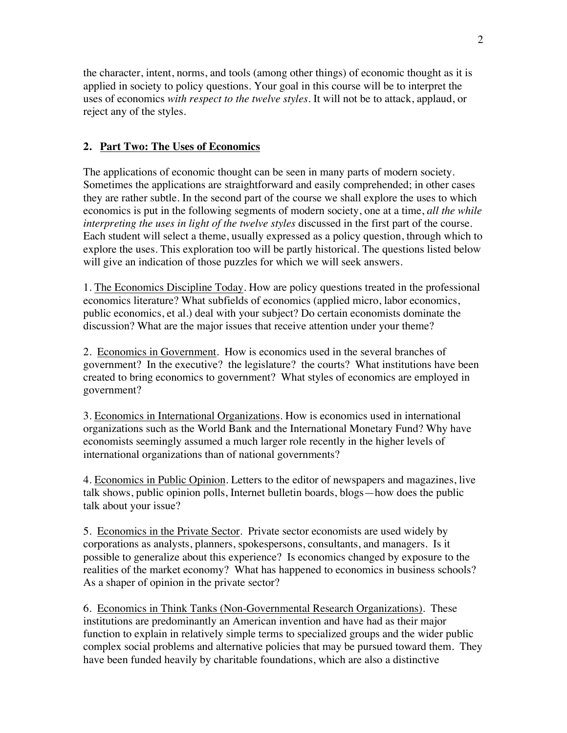the character, intent, norms, and tools (among other things) of economic thought as it is applied in society to policy questions. Your goal in this course will be to interpret the uses of economics *with respect to the twelve styles*. It will not be to attack, applaud, or reject any of the styles.

### **2. Part Two: The Uses of Economics**

The applications of economic thought can be seen in many parts of modern society. Sometimes the applications are straightforward and easily comprehended; in other cases they are rather subtle. In the second part of the course we shall explore the uses to which economics is put in the following segments of modern society, one at a time, *all the while interpreting the uses in light of the twelve styles* discussed in the first part of the course. Each student will select a theme, usually expressed as a policy question, through which to explore the uses. This exploration too will be partly historical. The questions listed below will give an indication of those puzzles for which we will seek answers.

1. The Economics Discipline Today. How are policy questions treated in the professional economics literature? What subfields of economics (applied micro, labor economics, public economics, et al.) deal with your subject? Do certain economists dominate the discussion? What are the major issues that receive attention under your theme?

2. Economics in Government. How is economics used in the several branches of government? In the executive? the legislature? the courts? What institutions have been created to bring economics to government? What styles of economics are employed in government?

3. Economics in International Organizations. How is economics used in international organizations such as the World Bank and the International Monetary Fund? Why have economists seemingly assumed a much larger role recently in the higher levels of international organizations than of national governments?

4. Economics in Public Opinion. Letters to the editor of newspapers and magazines, live talk shows, public opinion polls, Internet bulletin boards, blogs—how does the public talk about your issue?

5. Economics in the Private Sector. Private sector economists are used widely by corporations as analysts, planners, spokespersons, consultants, and managers. Is it possible to generalize about this experience? Is economics changed by exposure to the realities of the market economy? What has happened to economics in business schools? As a shaper of opinion in the private sector?

6. Economics in Think Tanks (Non-Governmental Research Organizations). These institutions are predominantly an American invention and have had as their major function to explain in relatively simple terms to specialized groups and the wider public complex social problems and alternative policies that may be pursued toward them. They have been funded heavily by charitable foundations, which are also a distinctive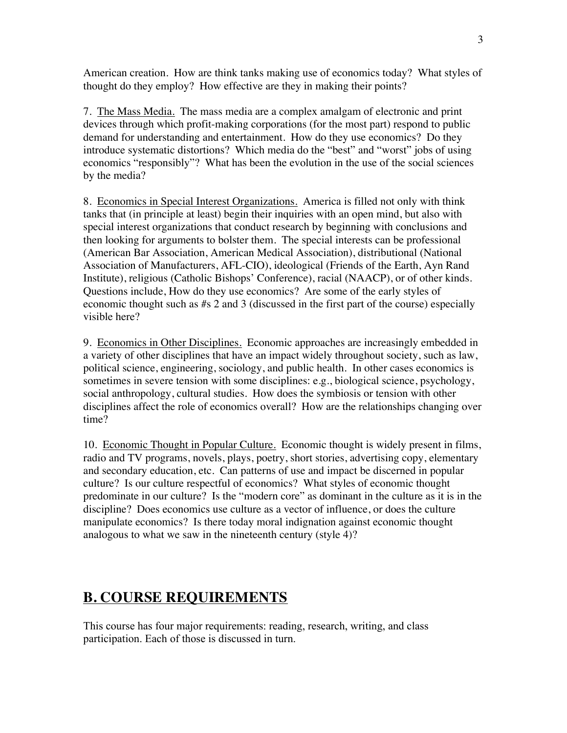American creation. How are think tanks making use of economics today? What styles of thought do they employ? How effective are they in making their points?

7. The Mass Media. The mass media are a complex amalgam of electronic and print devices through which profit-making corporations (for the most part) respond to public demand for understanding and entertainment. How do they use economics? Do they introduce systematic distortions? Which media do the "best" and "worst" jobs of using economics "responsibly"? What has been the evolution in the use of the social sciences by the media?

8. Economics in Special Interest Organizations. America is filled not only with think tanks that (in principle at least) begin their inquiries with an open mind, but also with special interest organizations that conduct research by beginning with conclusions and then looking for arguments to bolster them. The special interests can be professional (American Bar Association, American Medical Association), distributional (National Association of Manufacturers, AFL-CIO), ideological (Friends of the Earth, Ayn Rand Institute), religious (Catholic Bishops' Conference), racial (NAACP), or of other kinds. Questions include, How do they use economics? Are some of the early styles of economic thought such as #s 2 and 3 (discussed in the first part of the course) especially visible here?

9. Economics in Other Disciplines. Economic approaches are increasingly embedded in a variety of other disciplines that have an impact widely throughout society, such as law, political science, engineering, sociology, and public health. In other cases economics is sometimes in severe tension with some disciplines: e.g., biological science, psychology, social anthropology, cultural studies. How does the symbiosis or tension with other disciplines affect the role of economics overall? How are the relationships changing over time?

10. Economic Thought in Popular Culture. Economic thought is widely present in films, radio and TV programs, novels, plays, poetry, short stories, advertising copy, elementary and secondary education, etc. Can patterns of use and impact be discerned in popular culture? Is our culture respectful of economics? What styles of economic thought predominate in our culture? Is the "modern core" as dominant in the culture as it is in the discipline? Does economics use culture as a vector of influence, or does the culture manipulate economics? Is there today moral indignation against economic thought analogous to what we saw in the nineteenth century (style 4)?

# **B. COURSE REQUIREMENTS**

This course has four major requirements: reading, research, writing, and class participation. Each of those is discussed in turn.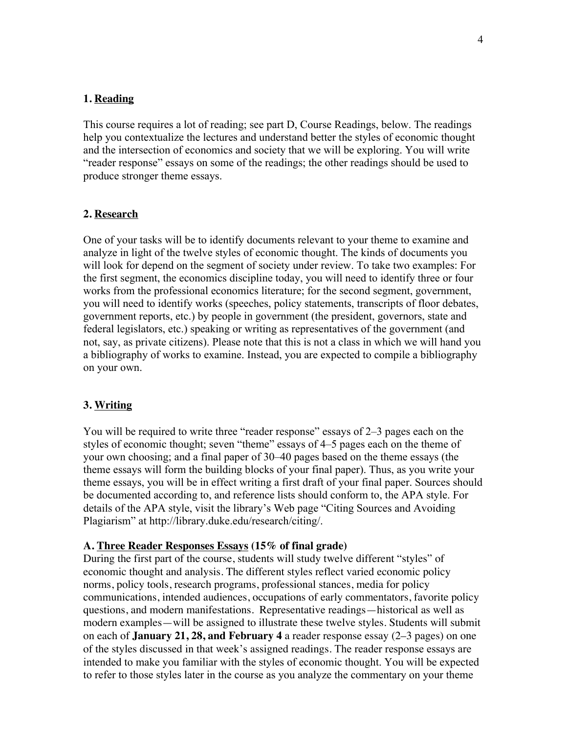#### **1. Reading**

This course requires a lot of reading; see part D, Course Readings, below. The readings help you contextualize the lectures and understand better the styles of economic thought and the intersection of economics and society that we will be exploring. You will write "reader response" essays on some of the readings; the other readings should be used to produce stronger theme essays.

#### **2. Research**

One of your tasks will be to identify documents relevant to your theme to examine and analyze in light of the twelve styles of economic thought. The kinds of documents you will look for depend on the segment of society under review. To take two examples: For the first segment, the economics discipline today, you will need to identify three or four works from the professional economics literature; for the second segment, government, you will need to identify works (speeches, policy statements, transcripts of floor debates, government reports, etc.) by people in government (the president, governors, state and federal legislators, etc.) speaking or writing as representatives of the government (and not, say, as private citizens). Please note that this is not a class in which we will hand you a bibliography of works to examine. Instead, you are expected to compile a bibliography on your own.

#### **3. Writing**

You will be required to write three "reader response" essays of 2–3 pages each on the styles of economic thought; seven "theme" essays of 4–5 pages each on the theme of your own choosing; and a final paper of 30–40 pages based on the theme essays (the theme essays will form the building blocks of your final paper). Thus, as you write your theme essays, you will be in effect writing a first draft of your final paper. Sources should be documented according to, and reference lists should conform to, the APA style. For details of the APA style, visit the library's Web page "Citing Sources and Avoiding Plagiarism" at http://library.duke.edu/research/citing/.

#### **A. Three Reader Responses Essays (15% of final grade)**

During the first part of the course, students will study twelve different "styles" of economic thought and analysis. The different styles reflect varied economic policy norms, policy tools, research programs, professional stances, media for policy communications, intended audiences, occupations of early commentators, favorite policy questions, and modern manifestations. Representative readings—historical as well as modern examples—will be assigned to illustrate these twelve styles. Students will submit on each of **January 21, 28, and February 4** a reader response essay (2–3 pages) on one of the styles discussed in that week's assigned readings. The reader response essays are intended to make you familiar with the styles of economic thought. You will be expected to refer to those styles later in the course as you analyze the commentary on your theme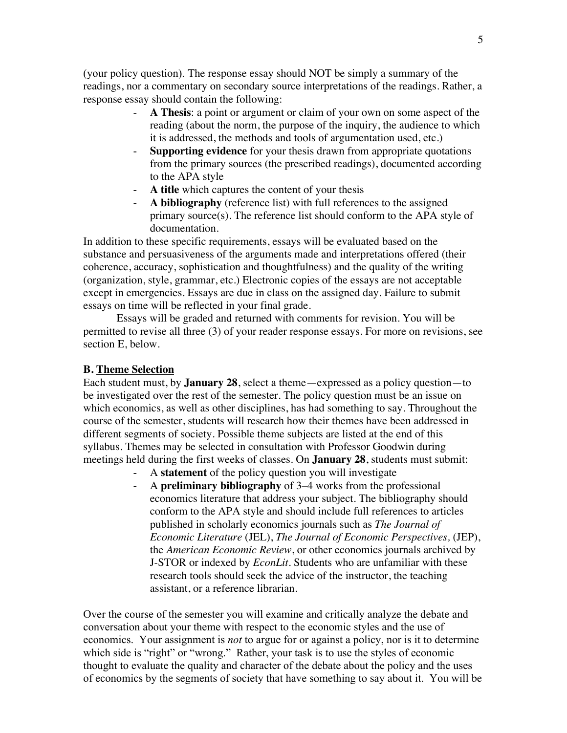(your policy question). The response essay should NOT be simply a summary of the readings, nor a commentary on secondary source interpretations of the readings. Rather, a response essay should contain the following:

- **A Thesis**: a point or argument or claim of your own on some aspect of the reading (about the norm, the purpose of the inquiry, the audience to which it is addressed, the methods and tools of argumentation used, etc.)
- **Supporting evidence** for your thesis drawn from appropriate quotations from the primary sources (the prescribed readings), documented according to the APA style
- **A title** which captures the content of your thesis
- **A bibliography** (reference list) with full references to the assigned primary source(s). The reference list should conform to the APA style of documentation.

In addition to these specific requirements, essays will be evaluated based on the substance and persuasiveness of the arguments made and interpretations offered (their coherence, accuracy, sophistication and thoughtfulness) and the quality of the writing (organization, style, grammar, etc.) Electronic copies of the essays are not acceptable except in emergencies. Essays are due in class on the assigned day. Failure to submit essays on time will be reflected in your final grade.

Essays will be graded and returned with comments for revision. You will be permitted to revise all three (3) of your reader response essays. For more on revisions, see section E, below.

#### **B. Theme Selection**

Each student must, by **January 28**, select a theme—expressed as a policy question—to be investigated over the rest of the semester. The policy question must be an issue on which economics, as well as other disciplines, has had something to say. Throughout the course of the semester, students will research how their themes have been addressed in different segments of society. Possible theme subjects are listed at the end of this syllabus. Themes may be selected in consultation with Professor Goodwin during meetings held during the first weeks of classes. On **January 28**, students must submit:

- A **statement** of the policy question you will investigate
- A **preliminary bibliography** of 3–4 works from the professional economics literature that address your subject. The bibliography should conform to the APA style and should include full references to articles published in scholarly economics journals such as *The Journal of Economic Literature* (JEL), *The Journal of Economic Perspectives,* (JEP), the *American Economic Review*, or other economics journals archived by J-STOR or indexed by *EconLit*. Students who are unfamiliar with these research tools should seek the advice of the instructor, the teaching assistant, or a reference librarian.

Over the course of the semester you will examine and critically analyze the debate and conversation about your theme with respect to the economic styles and the use of economics. Your assignment is *not* to argue for or against a policy, nor is it to determine which side is "right" or "wrong." Rather, your task is to use the styles of economic thought to evaluate the quality and character of the debate about the policy and the uses of economics by the segments of society that have something to say about it. You will be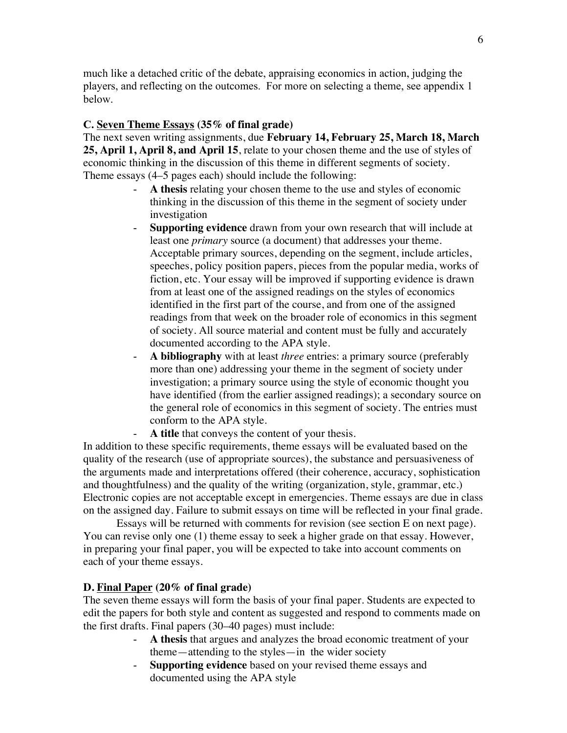much like a detached critic of the debate, appraising economics in action, judging the players, and reflecting on the outcomes. For more on selecting a theme, see appendix 1 below.

#### **C. Seven Theme Essays (35% of final grade)**

The next seven writing assignments, due **February 14, February 25, March 18, March 25, April 1, April 8, and April 15**, relate to your chosen theme and the use of styles of economic thinking in the discussion of this theme in different segments of society. Theme essays (4–5 pages each) should include the following:

- A thesis relating your chosen theme to the use and styles of economic thinking in the discussion of this theme in the segment of society under investigation
- **Supporting evidence** drawn from your own research that will include at least one *primary* source (a document) that addresses your theme. Acceptable primary sources, depending on the segment, include articles, speeches, policy position papers, pieces from the popular media, works of fiction, etc. Your essay will be improved if supporting evidence is drawn from at least one of the assigned readings on the styles of economics identified in the first part of the course, and from one of the assigned readings from that week on the broader role of economics in this segment of society. All source material and content must be fully and accurately documented according to the APA style.
- **A bibliography** with at least *three* entries: a primary source (preferably more than one) addressing your theme in the segment of society under investigation; a primary source using the style of economic thought you have identified (from the earlier assigned readings); a secondary source on the general role of economics in this segment of society. The entries must conform to the APA style.
	- A title that conveys the content of your thesis.

In addition to these specific requirements, theme essays will be evaluated based on the quality of the research (use of appropriate sources), the substance and persuasiveness of the arguments made and interpretations offered (their coherence, accuracy, sophistication and thoughtfulness) and the quality of the writing (organization, style, grammar, etc.) Electronic copies are not acceptable except in emergencies. Theme essays are due in class on the assigned day. Failure to submit essays on time will be reflected in your final grade.

Essays will be returned with comments for revision (see section E on next page). You can revise only one (1) theme essay to seek a higher grade on that essay. However, in preparing your final paper, you will be expected to take into account comments on each of your theme essays.

#### **D. Final Paper (20% of final grade)**

The seven theme essays will form the basis of your final paper. Students are expected to edit the papers for both style and content as suggested and respond to comments made on the first drafts. Final papers (30–40 pages) must include:

- **A thesis** that argues and analyzes the broad economic treatment of your theme—attending to the styles—in the wider society
- **Supporting evidence** based on your revised theme essays and documented using the APA style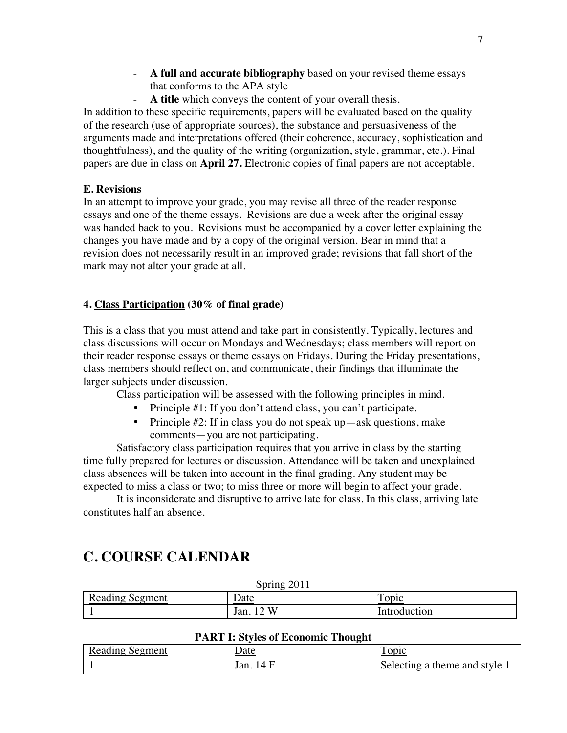- **A full and accurate bibliography** based on your revised theme essays that conforms to the APA style
- **A title** which conveys the content of your overall thesis.

In addition to these specific requirements, papers will be evaluated based on the quality of the research (use of appropriate sources), the substance and persuasiveness of the arguments made and interpretations offered (their coherence, accuracy, sophistication and thoughtfulness), and the quality of the writing (organization, style, grammar, etc.). Final papers are due in class on **April 27.** Electronic copies of final papers are not acceptable.

### **E. Revisions**

In an attempt to improve your grade, you may revise all three of the reader response essays and one of the theme essays. Revisions are due a week after the original essay was handed back to you. Revisions must be accompanied by a cover letter explaining the changes you have made and by a copy of the original version. Bear in mind that a revision does not necessarily result in an improved grade; revisions that fall short of the mark may not alter your grade at all.

### **4. Class Participation (30% of final grade)**

This is a class that you must attend and take part in consistently. Typically, lectures and class discussions will occur on Mondays and Wednesdays; class members will report on their reader response essays or theme essays on Fridays. During the Friday presentations, class members should reflect on, and communicate, their findings that illuminate the larger subjects under discussion.

Class participation will be assessed with the following principles in mind.

- Principle #1: If you don't attend class, you can't participate.
- Principle #2: If in class you do not speak up—ask questions, make comments—you are not participating.

Satisfactory class participation requires that you arrive in class by the starting time fully prepared for lectures or discussion. Attendance will be taken and unexplained class absences will be taken into account in the final grading. Any student may be expected to miss a class or two; to miss three or more will begin to affect your grade.

It is inconsiderate and disruptive to arrive late for class. In this class, arriving late constitutes half an absence.

# **C. COURSE CALENDAR**

| $50$ THE $2011$        |                 |              |
|------------------------|-----------------|--------------|
| <b>Reading Segment</b> | Date            | Topic        |
|                        | - XX<br>Jan. 12 | Introduction |

# **PART I: Styles of Economic Thought**

 $S<sub>min</sub> = 2011$ 

| <b>Reading Segment</b> | <u>Date</u>  | <u>l'opic</u>                 |
|------------------------|--------------|-------------------------------|
|                        | 14 F<br>Jan. | Selecting a theme and style 1 |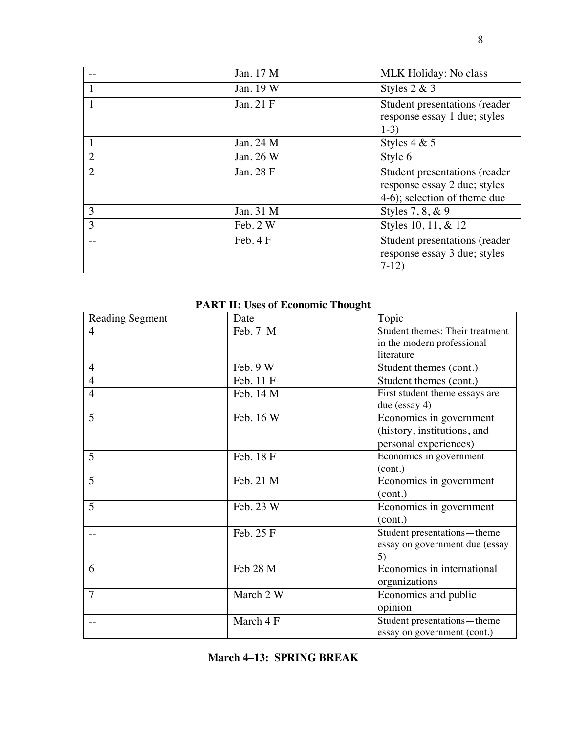|                | Jan. 17 M | MLK Holiday: No class                                                                           |
|----------------|-----------|-------------------------------------------------------------------------------------------------|
| 1              | Jan. 19 W | Styles $2 & 3$                                                                                  |
|                | Jan. 21 F | Student presentations (reader<br>response essay 1 due; styles<br>$1-3)$                         |
|                | Jan. 24 M | Styles $4 & 5$                                                                                  |
| $\overline{2}$ | Jan. 26 W | Style 6                                                                                         |
| $\overline{2}$ | Jan. 28 F | Student presentations (reader<br>response essay 2 due; styles<br>$4-6$ ; selection of theme due |
| 3              | Jan. 31 M | Styles 7, 8, & 9                                                                                |
| 3              | Feb. 2 W  | Styles 10, 11, & 12                                                                             |
|                | Feb. 4 F  | Student presentations (reader<br>response essay 3 due; styles<br>$7-12$                         |

# **PART II: Uses of Economic Thought**

| <b>Reading Segment</b> | Date      | Topic                           |
|------------------------|-----------|---------------------------------|
| $\overline{4}$         | Feb. 7 M  | Student themes: Their treatment |
|                        |           | in the modern professional      |
|                        |           | literature                      |
| $\overline{4}$         | Feb. 9 W  | Student themes (cont.)          |
| $\overline{4}$         | Feb. 11 F | Student themes (cont.)          |
| $\overline{4}$         | Feb. 14 M | First student theme essays are  |
|                        |           | due (essay 4)                   |
| 5                      | Feb. 16 W | Economics in government         |
|                        |           | (history, institutions, and     |
|                        |           | personal experiences)           |
| 5                      | Feb. 18 F | Economics in government         |
|                        |           | (cont.)                         |
| 5                      | Feb. 21 M | Economics in government         |
|                        |           | (cont.)                         |
| 5                      | Feb. 23 W | Economics in government         |
|                        |           | (cont.)                         |
|                        | Feb. 25 F | Student presentations-theme     |
|                        |           | essay on government due (essay  |
|                        |           | 5)                              |
| 6                      | Feb 28 M  | Economics in international      |
|                        |           | organizations                   |
| $\overline{7}$         | March 2 W | Economics and public            |
|                        |           | opinion                         |
|                        | March 4 F | Student presentations-theme     |
|                        |           | essay on government (cont.)     |

|  |  | March 4–13: SPRING BREAK |  |
|--|--|--------------------------|--|
|--|--|--------------------------|--|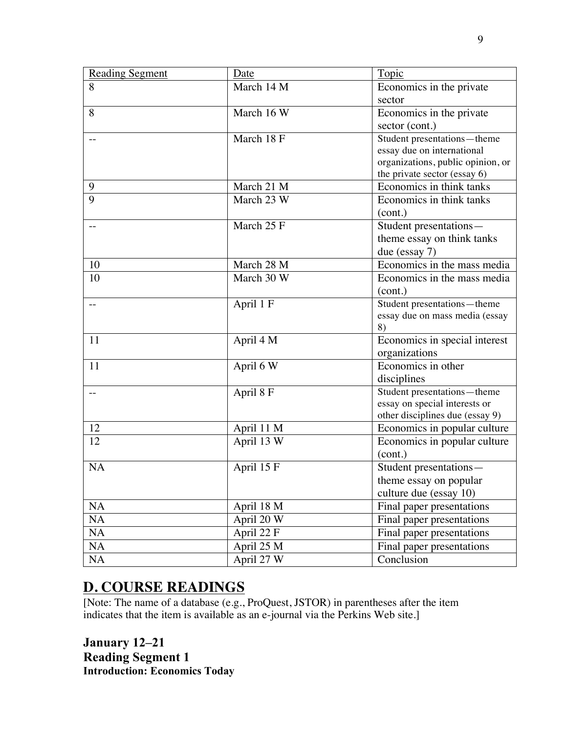| <b>Reading Segment</b> | Date       | Topic                                                         |
|------------------------|------------|---------------------------------------------------------------|
| $\overline{8}$         | March 14 M | Economics in the private                                      |
|                        |            | sector                                                        |
| 8                      | March 16 W | Economics in the private                                      |
|                        |            | sector (cont.)                                                |
|                        | March 18 F | Student presentations-theme                                   |
|                        |            | essay due on international                                    |
|                        |            | organizations, public opinion, or                             |
|                        |            | the private sector (essay 6)                                  |
| 9                      | March 21 M | Economics in think tanks                                      |
| $\overline{9}$         | March 23 W | Economics in think tanks                                      |
|                        |            | (cont.)                                                       |
|                        | March 25 F | Student presentations-                                        |
|                        |            | theme essay on think tanks                                    |
|                        | March 28 M | due (essay 7)                                                 |
| 10                     |            | Economics in the mass media                                   |
| 10                     | March 30 W | Economics in the mass media                                   |
|                        |            | (cont.)                                                       |
|                        | April 1 F  | Student presentations-theme<br>essay due on mass media (essay |
|                        |            | 8)                                                            |
| 11                     | April 4 M  | Economics in special interest                                 |
|                        |            | organizations                                                 |
| 11                     | April 6 W  | Economics in other                                            |
|                        |            | disciplines                                                   |
|                        | April 8 F  | Student presentations - theme                                 |
|                        |            | essay on special interests or                                 |
|                        |            | other disciplines due (essay 9)                               |
| 12                     | April 11 M | Economics in popular culture                                  |
| 12                     | April 13 W | Economics in popular culture                                  |
|                        |            | (cont.)                                                       |
| <b>NA</b>              | April 15 F | Student presentations-                                        |
|                        |            | theme essay on popular                                        |
|                        |            | culture due (essay 10)                                        |
| NA                     | April 18 M | Final paper presentations                                     |
| NA                     | April 20 W | Final paper presentations                                     |
| NA                     | April 22 F | Final paper presentations                                     |
| NA                     | April 25 M | Final paper presentations                                     |
| NA                     | April 27 W | Conclusion                                                    |

# **D. COURSE READINGS**

[Note: The name of a database (e.g., ProQuest, JSTOR) in parentheses after the item indicates that the item is available as an e-journal via the Perkins Web site.]

**January 12–21 Reading Segment 1 Introduction: Economics Today**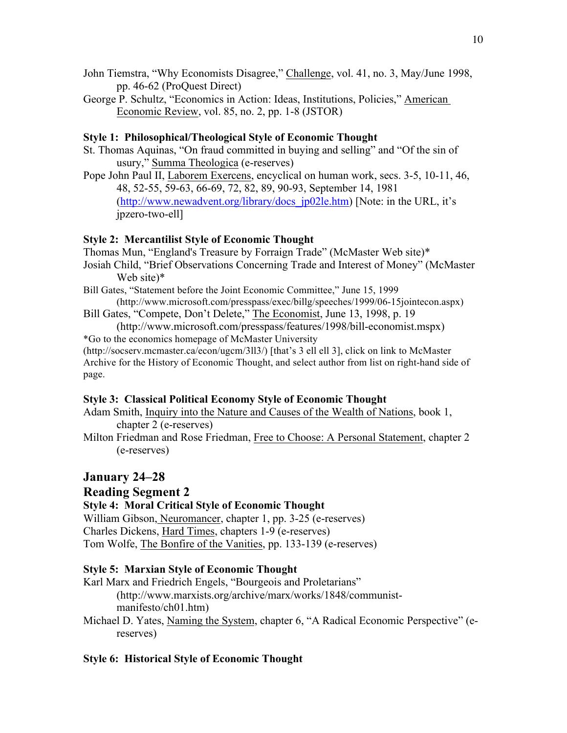- John Tiemstra, "Why Economists Disagree," Challenge, vol. 41, no. 3, May/June 1998, pp. 46-62 (ProQuest Direct)
- George P. Schultz, "Economics in Action: Ideas, Institutions, Policies," American Economic Review, vol. 85, no. 2, pp. 1-8 (JSTOR)

# **Style 1: Philosophical/Theological Style of Economic Thought**

- St. Thomas Aquinas, "On fraud committed in buying and selling" and "Of the sin of usury," Summa Theologica (e-reserves)
- Pope John Paul II, Laborem Exercens, encyclical on human work, secs. 3-5, 10-11, 46, 48, 52-55, 59-63, 66-69, 72, 82, 89, 90-93, September 14, 1981 (http://www.newadvent.org/library/docs\_jp02le.htm) [Note: in the URL, it's jpzero-two-ell]

# **Style 2: Mercantilist Style of Economic Thought**

Thomas Mun, "England's Treasure by Forraign Trade" (McMaster Web site)\*

- Josiah Child, "Brief Observations Concerning Trade and Interest of Money" (McMaster Web site)\*
- Bill Gates, "Statement before the Joint Economic Committee," June 15, 1999 (http://www.microsoft.com/presspass/exec/billg/speeches/1999/06-15jointecon.aspx)
- Bill Gates, "Compete, Don't Delete," The Economist, June 13, 1998, p. 19

(http://www.microsoft.com/presspass/features/1998/bill-economist.mspx) \*Go to the economics homepage of McMaster University (http://socserv.mcmaster.ca/econ/ugcm/3ll3/) [that's 3 ell ell 3], click on link to McMaster

Archive for the History of Economic Thought, and select author from list on right-hand side of page.

# **Style 3: Classical Political Economy Style of Economic Thought**

Adam Smith, Inquiry into the Nature and Causes of the Wealth of Nations, book 1, chapter 2 (e-reserves)

Milton Friedman and Rose Friedman, Free to Choose: A Personal Statement, chapter 2 (e-reserves)

# **January 24–28**

# **Reading Segment 2**

# **Style 4: Moral Critical Style of Economic Thought**

William Gibson, Neuromancer, chapter 1, pp. 3-25 (e-reserves) Charles Dickens, Hard Times, chapters 1-9 (e-reserves) Tom Wolfe, The Bonfire of the Vanities, pp. 133-139 (e-reserves)

# **Style 5: Marxian Style of Economic Thought**

Karl Marx and Friedrich Engels, "Bourgeois and Proletarians" (http://www.marxists.org/archive/marx/works/1848/communistmanifesto/ch01.htm)

Michael D. Yates, Naming the System, chapter 6, "A Radical Economic Perspective" (ereserves)

# **Style 6: Historical Style of Economic Thought**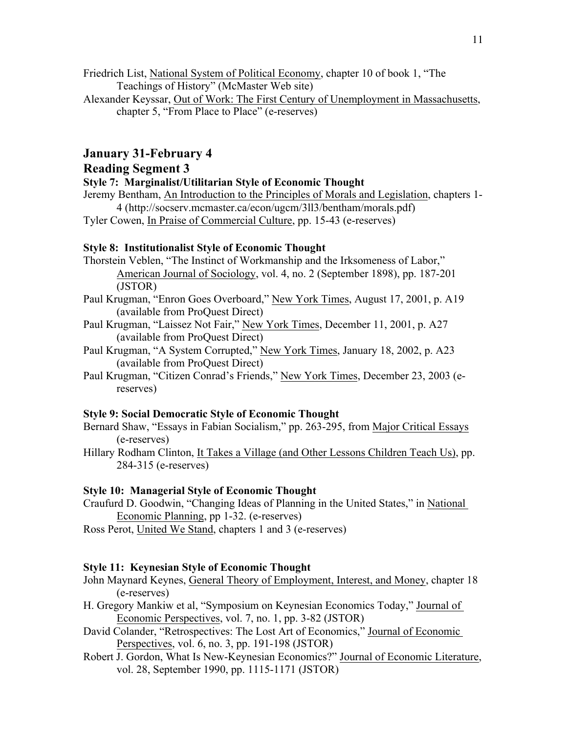Friedrich List, National System of Political Economy, chapter 10 of book 1, "The Teachings of History" (McMaster Web site)

Alexander Keyssar, Out of Work: The First Century of Unemployment in Massachusetts, chapter 5, "From Place to Place" (e-reserves)

#### **January 31-February 4**

# **Reading Segment 3**

**Style 7: Marginalist/Utilitarian Style of Economic Thought**

Jeremy Bentham, An Introduction to the Principles of Morals and Legislation, chapters 1- 4 (http://socserv.mcmaster.ca/econ/ugcm/3ll3/bentham/morals.pdf)

Tyler Cowen, In Praise of Commercial Culture, pp. 15-43 (e-reserves)

#### **Style 8: Institutionalist Style of Economic Thought**

- Thorstein Veblen, "The Instinct of Workmanship and the Irksomeness of Labor," American Journal of Sociology, vol. 4, no. 2 (September 1898), pp. 187-201 (JSTOR)
- Paul Krugman, "Enron Goes Overboard," New York Times, August 17, 2001, p. A19 (available from ProQuest Direct)
- Paul Krugman, "Laissez Not Fair," New York Times, December 11, 2001, p. A27 (available from ProQuest Direct)
- Paul Krugman, "A System Corrupted," New York Times, January 18, 2002, p. A23 (available from ProQuest Direct)
- Paul Krugman, "Citizen Conrad's Friends," New York Times, December 23, 2003 (ereserves)

#### **Style 9: Social Democratic Style of Economic Thought**

Bernard Shaw, "Essays in Fabian Socialism," pp. 263-295, from Major Critical Essays (e-reserves)

Hillary Rodham Clinton, It Takes a Village (and Other Lessons Children Teach Us), pp. 284-315 (e-reserves)

#### **Style 10: Managerial Style of Economic Thought**

Craufurd D. Goodwin, "Changing Ideas of Planning in the United States," in National Economic Planning, pp 1-32. (e-reserves)

Ross Perot, United We Stand, chapters 1 and 3 (e-reserves)

#### **Style 11: Keynesian Style of Economic Thought**

- John Maynard Keynes, General Theory of Employment, Interest, and Money, chapter 18 (e-reserves)
- H. Gregory Mankiw et al, "Symposium on Keynesian Economics Today," Journal of Economic Perspectives, vol. 7, no. 1, pp. 3-82 (JSTOR)
- David Colander, "Retrospectives: The Lost Art of Economics," Journal of Economic Perspectives, vol. 6, no. 3, pp. 191-198 (JSTOR)
- Robert J. Gordon, What Is New-Keynesian Economics?" Journal of Economic Literature, vol. 28, September 1990, pp. 1115-1171 (JSTOR)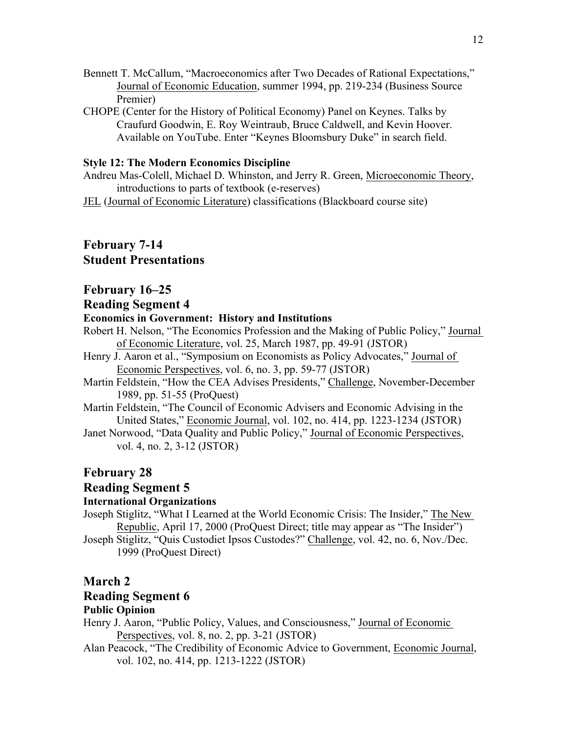- Bennett T. McCallum, "Macroeconomics after Two Decades of Rational Expectations," Journal of Economic Education, summer 1994, pp. 219-234 (Business Source Premier)
- CHOPE (Center for the History of Political Economy) Panel on Keynes. Talks by Craufurd Goodwin, E. Roy Weintraub, Bruce Caldwell, and Kevin Hoover. Available on YouTube. Enter "Keynes Bloomsbury Duke" in search field.

#### **Style 12: The Modern Economics Discipline**

Andreu Mas-Colell, Michael D. Whinston, and Jerry R. Green, Microeconomic Theory, introductions to parts of textbook (e-reserves)

JEL (Journal of Economic Literature) classifications (Blackboard course site)

# **February 7-14 Student Presentations**

#### **February 16–25**

#### **Reading Segment 4**

#### **Economics in Government: History and Institutions**

- Robert H. Nelson, "The Economics Profession and the Making of Public Policy," Journal of Economic Literature, vol. 25, March 1987, pp. 49-91 (JSTOR)
- Henry J. Aaron et al., "Symposium on Economists as Policy Advocates," Journal of Economic Perspectives, vol. 6, no. 3, pp. 59-77 (JSTOR)
- Martin Feldstein, "How the CEA Advises Presidents," Challenge, November-December 1989, pp. 51-55 (ProQuest)
- Martin Feldstein, "The Council of Economic Advisers and Economic Advising in the United States," Economic Journal, vol. 102, no. 414, pp. 1223-1234 (JSTOR)
- Janet Norwood, "Data Quality and Public Policy," Journal of Economic Perspectives, vol. 4, no. 2, 3-12 (JSTOR)

# **February 28**

#### **Reading Segment 5**

#### **International Organizations**

Joseph Stiglitz, "What I Learned at the World Economic Crisis: The Insider," The New Republic, April 17, 2000 (ProQuest Direct; title may appear as "The Insider") Joseph Stiglitz, "Quis Custodiet Ipsos Custodes?" Challenge, vol. 42, no. 6, Nov./Dec.

1999 (ProQuest Direct)

#### **March 2**

#### **Reading Segment 6**

#### **Public Opinion**

Henry J. Aaron, "Public Policy, Values, and Consciousness," Journal of Economic Perspectives, vol. 8, no. 2, pp. 3-21 (JSTOR)

Alan Peacock, "The Credibility of Economic Advice to Government, Economic Journal, vol. 102, no. 414, pp. 1213-1222 (JSTOR)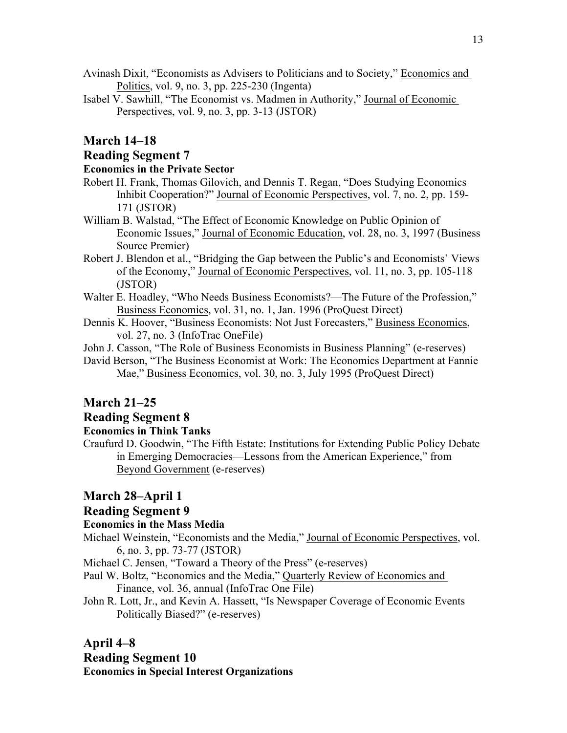- Avinash Dixit, "Economists as Advisers to Politicians and to Society," Economics and Politics, vol. 9, no. 3, pp. 225-230 (Ingenta)
- Isabel V. Sawhill, "The Economist vs. Madmen in Authority," Journal of Economic Perspectives, vol. 9, no. 3, pp. 3-13 (JSTOR)

#### **March 14–18**

#### **Reading Segment 7**

### **Economics in the Private Sector**

- Robert H. Frank, Thomas Gilovich, and Dennis T. Regan, "Does Studying Economics Inhibit Cooperation?" Journal of Economic Perspectives, vol. 7, no. 2, pp. 159- 171 (JSTOR)
- William B. Walstad, "The Effect of Economic Knowledge on Public Opinion of Economic Issues," Journal of Economic Education, vol. 28, no. 3, 1997 (Business Source Premier)
- Robert J. Blendon et al., "Bridging the Gap between the Public's and Economists' Views of the Economy," Journal of Economic Perspectives, vol. 11, no. 3, pp. 105-118 (JSTOR)
- Walter E. Hoadley, "Who Needs Business Economists?—The Future of the Profession," Business Economics, vol. 31, no. 1, Jan. 1996 (ProQuest Direct)
- Dennis K. Hoover, "Business Economists: Not Just Forecasters," Business Economics, vol. 27, no. 3 (InfoTrac OneFile)
- John J. Casson, "The Role of Business Economists in Business Planning" (e-reserves)
- David Berson, "The Business Economist at Work: The Economics Department at Fannie Mae," Business Economics, vol. 30, no. 3, July 1995 (ProQuest Direct)

### **March 21–25**

#### **Reading Segment 8**

# **Economics in Think Tanks**

Craufurd D. Goodwin, "The Fifth Estate: Institutions for Extending Public Policy Debate in Emerging Democracies—Lessons from the American Experience," from Beyond Government (e-reserves)

#### **March 28–April 1**

#### **Reading Segment 9**

#### **Economics in the Mass Media**

Michael Weinstein, "Economists and the Media," Journal of Economic Perspectives, vol. 6, no. 3, pp. 73-77 (JSTOR)

Michael C. Jensen, "Toward a Theory of the Press" (e-reserves)

- Paul W. Boltz, "Economics and the Media," Quarterly Review of Economics and Finance, vol. 36, annual (InfoTrac One File)
- John R. Lott, Jr., and Kevin A. Hassett, "Is Newspaper Coverage of Economic Events Politically Biased?" (e-reserves)

# **April 4–8 Reading Segment 10 Economics in Special Interest Organizations**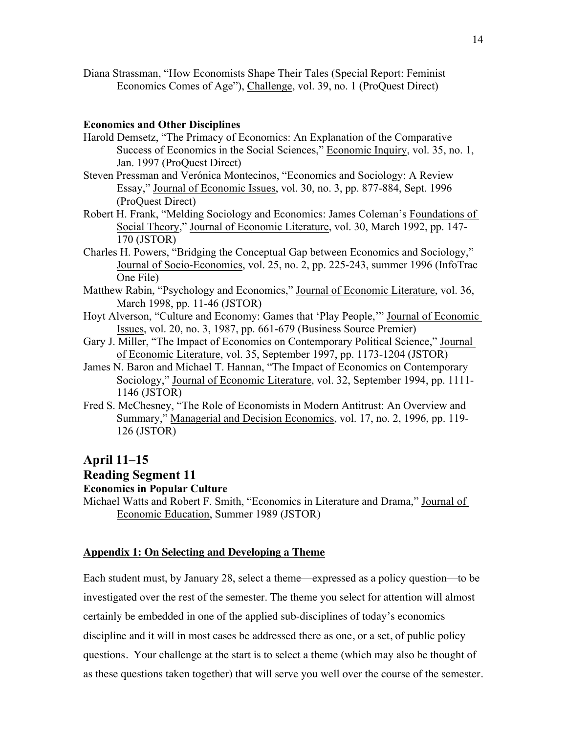Diana Strassman, "How Economists Shape Their Tales (Special Report: Feminist Economics Comes of Age"), Challenge, vol. 39, no. 1 (ProQuest Direct)

#### **Economics and Other Disciplines**

- Harold Demsetz, "The Primacy of Economics: An Explanation of the Comparative Success of Economics in the Social Sciences," Economic Inquiry, vol. 35, no. 1, Jan. 1997 (ProQuest Direct)
- Steven Pressman and Verónica Montecinos, "Economics and Sociology: A Review Essay," Journal of Economic Issues, vol. 30, no. 3, pp. 877-884, Sept. 1996 (ProQuest Direct)
- Robert H. Frank, "Melding Sociology and Economics: James Coleman's Foundations of Social Theory," Journal of Economic Literature, vol. 30, March 1992, pp. 147- 170 (JSTOR)
- Charles H. Powers, "Bridging the Conceptual Gap between Economics and Sociology," Journal of Socio-Economics, vol. 25, no. 2, pp. 225-243, summer 1996 (InfoTrac One File)
- Matthew Rabin, "Psychology and Economics," Journal of Economic Literature, vol. 36, March 1998, pp. 11-46 (JSTOR)
- Hoyt Alverson, "Culture and Economy: Games that 'Play People,'" Journal of Economic Issues, vol. 20, no. 3, 1987, pp. 661-679 (Business Source Premier)
- Gary J. Miller, "The Impact of Economics on Contemporary Political Science," Journal of Economic Literature, vol. 35, September 1997, pp. 1173-1204 (JSTOR)
- James N. Baron and Michael T. Hannan, "The Impact of Economics on Contemporary Sociology," Journal of Economic Literature, vol. 32, September 1994, pp. 1111- 1146 (JSTOR)
- Fred S. McChesney, "The Role of Economists in Modern Antitrust: An Overview and Summary," Managerial and Decision Economics, vol. 17, no. 2, 1996, pp. 119- 126 (JSTOR)

#### **April 11–15**

#### **Reading Segment 11**

#### **Economics in Popular Culture**

Michael Watts and Robert F. Smith, "Economics in Literature and Drama," Journal of Economic Education, Summer 1989 (JSTOR)

#### **Appendix 1: On Selecting and Developing a Theme**

Each student must, by January 28, select a theme—expressed as a policy question—to be investigated over the rest of the semester. The theme you select for attention will almost certainly be embedded in one of the applied sub-disciplines of today's economics discipline and it will in most cases be addressed there as one, or a set, of public policy questions. Your challenge at the start is to select a theme (which may also be thought of as these questions taken together) that will serve you well over the course of the semester.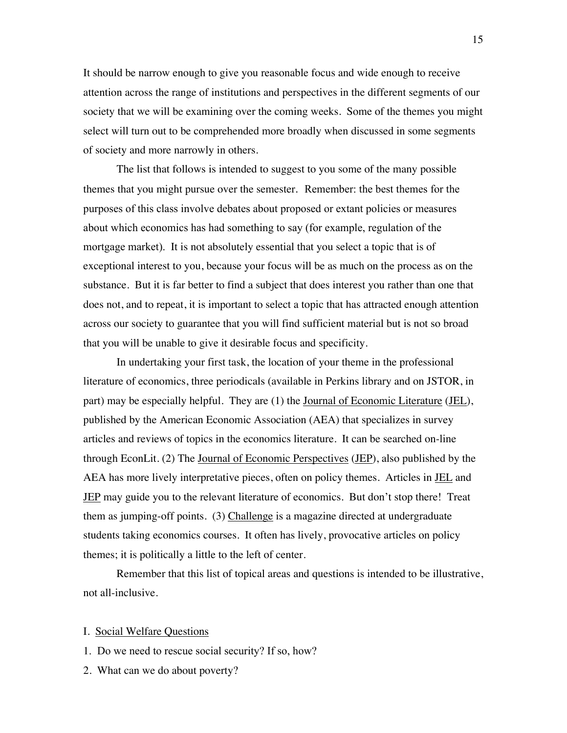It should be narrow enough to give you reasonable focus and wide enough to receive attention across the range of institutions and perspectives in the different segments of our society that we will be examining over the coming weeks. Some of the themes you might select will turn out to be comprehended more broadly when discussed in some segments of society and more narrowly in others.

The list that follows is intended to suggest to you some of the many possible themes that you might pursue over the semester. Remember: the best themes for the purposes of this class involve debates about proposed or extant policies or measures about which economics has had something to say (for example, regulation of the mortgage market). It is not absolutely essential that you select a topic that is of exceptional interest to you, because your focus will be as much on the process as on the substance. But it is far better to find a subject that does interest you rather than one that does not, and to repeat, it is important to select a topic that has attracted enough attention across our society to guarantee that you will find sufficient material but is not so broad that you will be unable to give it desirable focus and specificity.

In undertaking your first task, the location of your theme in the professional literature of economics, three periodicals (available in Perkins library and on JSTOR, in part) may be especially helpful. They are (1) the Journal of Economic Literature (JEL), published by the American Economic Association (AEA) that specializes in survey articles and reviews of topics in the economics literature. It can be searched on-line through EconLit. (2) The Journal of Economic Perspectives (JEP), also published by the AEA has more lively interpretative pieces, often on policy themes. Articles in JEL and JEP may guide you to the relevant literature of economics. But don't stop there! Treat them as jumping-off points. (3) Challenge is a magazine directed at undergraduate students taking economics courses. It often has lively, provocative articles on policy themes; it is politically a little to the left of center.

Remember that this list of topical areas and questions is intended to be illustrative, not all-inclusive.

#### I. Social Welfare Questions

- 1. Do we need to rescue social security? If so, how?
- 2. What can we do about poverty?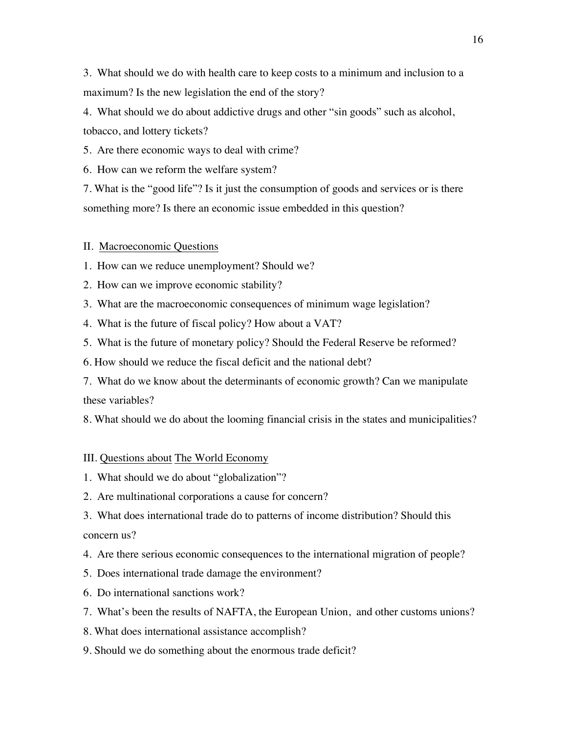3. What should we do with health care to keep costs to a minimum and inclusion to a maximum? Is the new legislation the end of the story?

4. What should we do about addictive drugs and other "sin goods" such as alcohol, tobacco, and lottery tickets?

5. Are there economic ways to deal with crime?

6. How can we reform the welfare system?

7. What is the "good life"? Is it just the consumption of goods and services or is there something more? Is there an economic issue embedded in this question?

#### II. Macroeconomic Questions

1. How can we reduce unemployment? Should we?

2. How can we improve economic stability?

3. What are the macroeconomic consequences of minimum wage legislation?

4. What is the future of fiscal policy? How about a VAT?

5. What is the future of monetary policy? Should the Federal Reserve be reformed?

6. How should we reduce the fiscal deficit and the national debt?

7. What do we know about the determinants of economic growth? Can we manipulate these variables?

8. What should we do about the looming financial crisis in the states and municipalities?

#### III. Questions about The World Economy

- 1. What should we do about "globalization"?
- 2. Are multinational corporations a cause for concern?

3. What does international trade do to patterns of income distribution? Should this concern us?

4. Are there serious economic consequences to the international migration of people?

- 5. Does international trade damage the environment?
- 6. Do international sanctions work?

7. What's been the results of NAFTA, the European Union, and other customs unions?

8. What does international assistance accomplish?

9. Should we do something about the enormous trade deficit?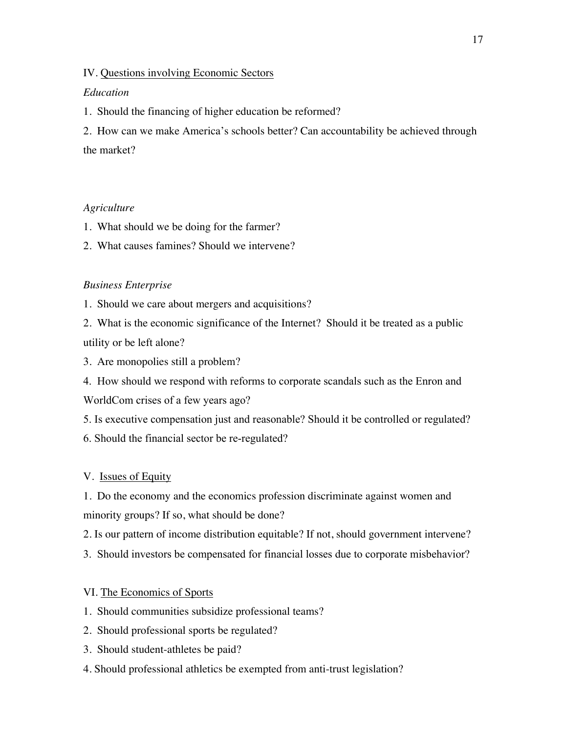#### IV. Questions involving Economic Sectors

#### *Education*

1. Should the financing of higher education be reformed?

2. How can we make America's schools better? Can accountability be achieved through the market?

#### *Agriculture*

- 1. What should we be doing for the farmer?
- 2. What causes famines? Should we intervene?

#### *Business Enterprise*

1. Should we care about mergers and acquisitions?

2. What is the economic significance of the Internet? Should it be treated as a public utility or be left alone?

3. Are monopolies still a problem?

4. How should we respond with reforms to corporate scandals such as the Enron and WorldCom crises of a few years ago?

5. Is executive compensation just and reasonable? Should it be controlled or regulated? 6. Should the financial sector be re-regulated?

#### V. Issues of Equity

1. Do the economy and the economics profession discriminate against women and minority groups? If so, what should be done?

2. Is our pattern of income distribution equitable? If not, should government intervene?

3. Should investors be compensated for financial losses due to corporate misbehavior?

#### VI. The Economics of Sports

- 1. Should communities subsidize professional teams?
- 2. Should professional sports be regulated?
- 3. Should student-athletes be paid?
- 4. Should professional athletics be exempted from anti-trust legislation?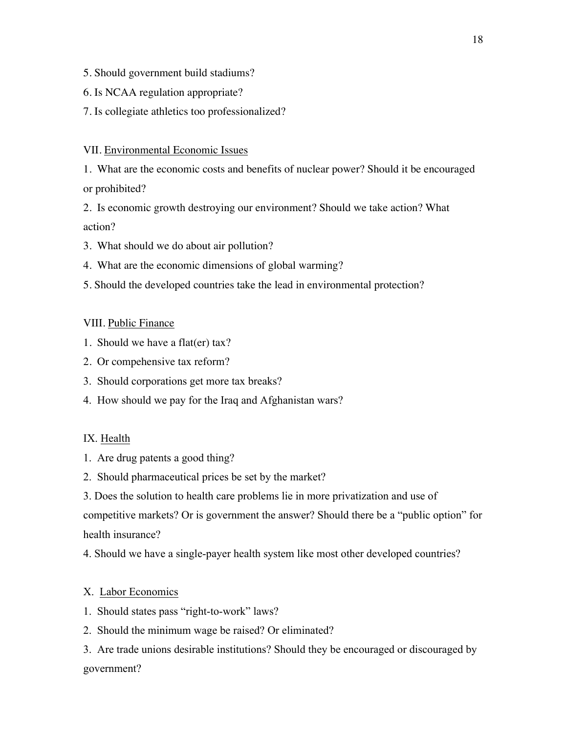- 5. Should government build stadiums?
- 6. Is NCAA regulation appropriate?
- 7. Is collegiate athletics too professionalized?

# VII. Environmental Economic Issues

1. What are the economic costs and benefits of nuclear power? Should it be encouraged or prohibited?

2. Is economic growth destroying our environment? Should we take action? What action?

- 3. What should we do about air pollution?
- 4. What are the economic dimensions of global warming?
- 5. Should the developed countries take the lead in environmental protection?

# VIII. Public Finance

- 1. Should we have a flat(er) tax?
- 2. Or compehensive tax reform?
- 3. Should corporations get more tax breaks?
- 4. How should we pay for the Iraq and Afghanistan wars?

# IX. Health

- 1. Are drug patents a good thing?
- 2. Should pharmaceutical prices be set by the market?
- 3. Does the solution to health care problems lie in more privatization and use of

competitive markets? Or is government the answer? Should there be a "public option" for health insurance?

4. Should we have a single-payer health system like most other developed countries?

# X. Labor Economics

- 1. Should states pass "right-to-work" laws?
- 2. Should the minimum wage be raised? Or eliminated?

3. Are trade unions desirable institutions? Should they be encouraged or discouraged by government?